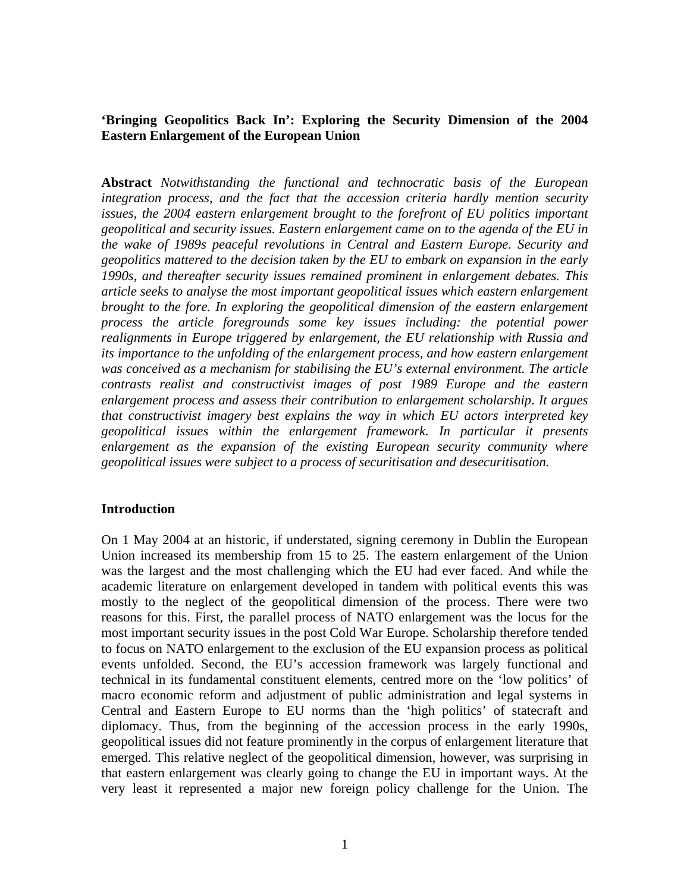# **'Bringing Geopolitics Back In': Exploring the Security Dimension of the 2004 Eastern Enlargement of the European Union**

**Abstract** *Notwithstanding the functional and technocratic basis of the European integration process, and the fact that the accession criteria hardly mention security issues, the 2004 eastern enlargement brought to the forefront of EU politics important geopolitical and security issues. Eastern enlargement came on to the agenda of the EU in the wake of 1989s peaceful revolutions in Central and Eastern Europe. Security and geopolitics mattered to the decision taken by the EU to embark on expansion in the early 1990s, and thereafter security issues remained prominent in enlargement debates. This article seeks to analyse the most important geopolitical issues which eastern enlargement brought to the fore. In exploring the geopolitical dimension of the eastern enlargement process the article foregrounds some key issues including: the potential power realignments in Europe triggered by enlargement, the EU relationship with Russia and its importance to the unfolding of the enlargement process, and how eastern enlargement was conceived as a mechanism for stabilising the EU's external environment. The article contrasts realist and constructivist images of post 1989 Europe and the eastern enlargement process and assess their contribution to enlargement scholarship*. *It argues that constructivist imagery best explains the way in which EU actors interpreted key geopolitical issues within the enlargement framework. In particular it presents enlargement as the expansion of the existing European security community where geopolitical issues were subject to a process of securitisation and desecuritisation.* 

### **Introduction**

On 1 May 2004 at an historic, if understated, signing ceremony in Dublin the European Union increased its membership from 15 to 25. The eastern enlargement of the Union was the largest and the most challenging which the EU had ever faced. And while the academic literature on enlargement developed in tandem with political events this was mostly to the neglect of the geopolitical dimension of the process. There were two reasons for this. First, the parallel process of NATO enlargement was the locus for the most important security issues in the post Cold War Europe. Scholarship therefore tended to focus on NATO enlargement to the exclusion of the EU expansion process as political events unfolded. Second, the EU's accession framework was largely functional and technical in its fundamental constituent elements, centred more on the 'low politics' of macro economic reform and adjustment of public administration and legal systems in Central and Eastern Europe to EU norms than the 'high politics' of statecraft and diplomacy. Thus, from the beginning of the accession process in the early 1990s, geopolitical issues did not feature prominently in the corpus of enlargement literature that emerged. This relative neglect of the geopolitical dimension, however, was surprising in that eastern enlargement was clearly going to change the EU in important ways. At the very least it represented a major new foreign policy challenge for the Union. The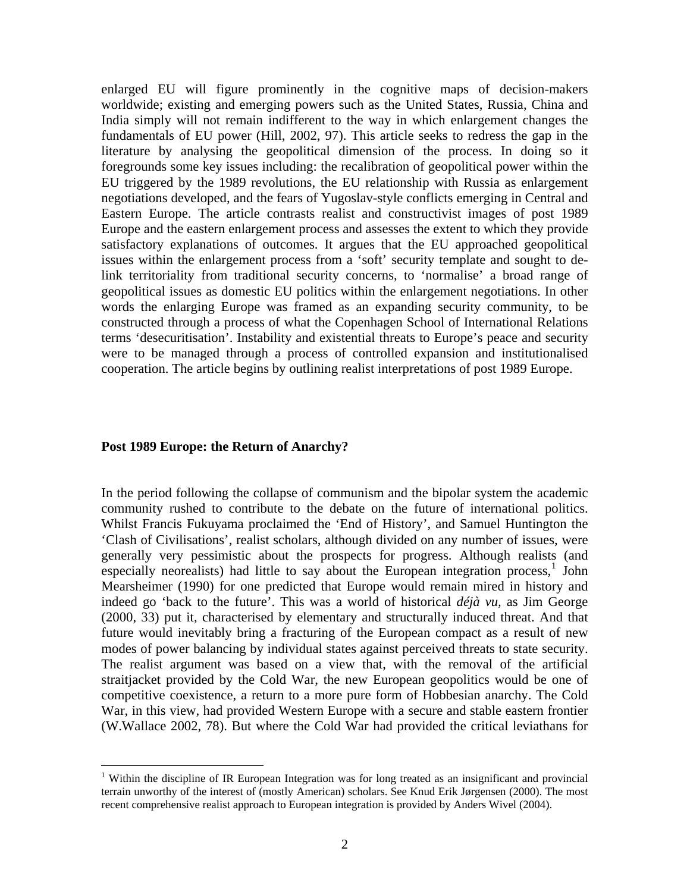enlarged EU will figure prominently in the cognitive maps of decision-makers worldwide; existing and emerging powers such as the United States, Russia, China and India simply will not remain indifferent to the way in which enlargement changes the fundamentals of EU power (Hill, 2002, 97). This article seeks to redress the gap in the literature by analysing the geopolitical dimension of the process. In doing so it foregrounds some key issues including: the recalibration of geopolitical power within the EU triggered by the 1989 revolutions, the EU relationship with Russia as enlargement negotiations developed, and the fears of Yugoslav-style conflicts emerging in Central and Eastern Europe. The article contrasts realist and constructivist images of post 1989 Europe and the eastern enlargement process and assesses the extent to which they provide satisfactory explanations of outcomes. It argues that the EU approached geopolitical issues within the enlargement process from a 'soft' security template and sought to delink territoriality from traditional security concerns, to 'normalise' a broad range of geopolitical issues as domestic EU politics within the enlargement negotiations. In other words the enlarging Europe was framed as an expanding security community, to be constructed through a process of what the Copenhagen School of International Relations terms 'desecuritisation'. Instability and existential threats to Europe's peace and security were to be managed through a process of controlled expansion and institutionalised cooperation. The article begins by outlining realist interpretations of post 1989 Europe.

## **Post 1989 Europe: the Return of Anarchy?**

1

In the period following the collapse of communism and the bipolar system the academic community rushed to contribute to the debate on the future of international politics. Whilst Francis Fukuyama proclaimed the 'End of History', and Samuel Huntington the 'Clash of Civilisations', realist scholars, although divided on any number of issues, were generally very pessimistic about the prospects for progress. Although realists (and especially neorealists) had little to say about the European integration process,<sup>[1](#page-1-0)</sup> John Mearsheimer (1990) for one predicted that Europe would remain mired in history and indeed go 'back to the future'. This was a world of historical *déjà vu,* as Jim George (2000, 33) put it, characterised by elementary and structurally induced threat. And that future would inevitably bring a fracturing of the European compact as a result of new modes of power balancing by individual states against perceived threats to state security. The realist argument was based on a view that, with the removal of the artificial straitjacket provided by the Cold War, the new European geopolitics would be one of competitive coexistence, a return to a more pure form of Hobbesian anarchy. The Cold War, in this view, had provided Western Europe with a secure and stable eastern frontier (W.Wallace 2002, 78). But where the Cold War had provided the critical leviathans for

<span id="page-1-0"></span><sup>&</sup>lt;sup>1</sup> Within the discipline of IR European Integration was for long treated as an insignificant and provincial terrain unworthy of the interest of (mostly American) scholars. See Knud Erik Jørgensen (2000). The most recent comprehensive realist approach to European integration is provided by Anders Wivel (2004).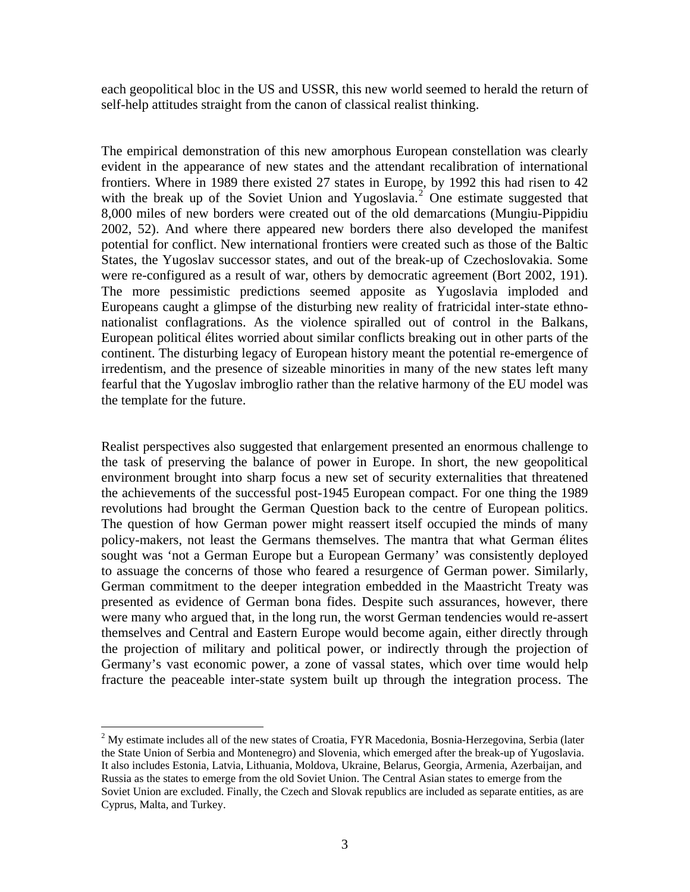each geopolitical bloc in the US and USSR, this new world seemed to herald the return of self-help attitudes straight from the canon of classical realist thinking.

The empirical demonstration of this new amorphous European constellation was clearly evident in the appearance of new states and the attendant recalibration of international frontiers. Where in 1989 there existed 27 states in Europe, by 1992 this had risen to 42 with the break up of the Soviet Union and Yugoslavia.<sup>[2](#page-2-0)</sup> One estimate suggested that 8,000 miles of new borders were created out of the old demarcations (Mungiu-Pippidiu 2002, 52). And where there appeared new borders there also developed the manifest potential for conflict. New international frontiers were created such as those of the Baltic States, the Yugoslav successor states, and out of the break-up of Czechoslovakia. Some were re-configured as a result of war, others by democratic agreement (Bort 2002, 191). The more pessimistic predictions seemed apposite as Yugoslavia imploded and Europeans caught a glimpse of the disturbing new reality of fratricidal inter-state ethnonationalist conflagrations. As the violence spiralled out of control in the Balkans, European political élites worried about similar conflicts breaking out in other parts of the continent. The disturbing legacy of European history meant the potential re-emergence of irredentism, and the presence of sizeable minorities in many of the new states left many fearful that the Yugoslav imbroglio rather than the relative harmony of the EU model was the template for the future.

Realist perspectives also suggested that enlargement presented an enormous challenge to the task of preserving the balance of power in Europe. In short, the new geopolitical environment brought into sharp focus a new set of security externalities that threatened the achievements of the successful post-1945 European compact. For one thing the 1989 revolutions had brought the German Question back to the centre of European politics. The question of how German power might reassert itself occupied the minds of many policy-makers, not least the Germans themselves. The mantra that what German élites sought was 'not a German Europe but a European Germany' was consistently deployed to assuage the concerns of those who feared a resurgence of German power. Similarly, German commitment to the deeper integration embedded in the Maastricht Treaty was presented as evidence of German bona fides. Despite such assurances, however, there were many who argued that, in the long run, the worst German tendencies would re-assert themselves and Central and Eastern Europe would become again, either directly through the projection of military and political power, or indirectly through the projection of Germany's vast economic power, a zone of vassal states, which over time would help fracture the peaceable inter-state system built up through the integration process. The

<span id="page-2-0"></span> $2^2$  My estimate includes all of the new states of Croatia, FYR Macedonia, Bosnia-Herzegovina, Serbia (later the State Union of Serbia and Montenegro) and Slovenia, which emerged after the break-up of Yugoslavia. It also includes Estonia, Latvia, Lithuania, Moldova, Ukraine, Belarus, Georgia, Armenia, Azerbaijan, and Russia as the states to emerge from the old Soviet Union. The Central Asian states to emerge from the Soviet Union are excluded. Finally, the Czech and Slovak republics are included as separate entities, as are Cyprus, Malta, and Turkey.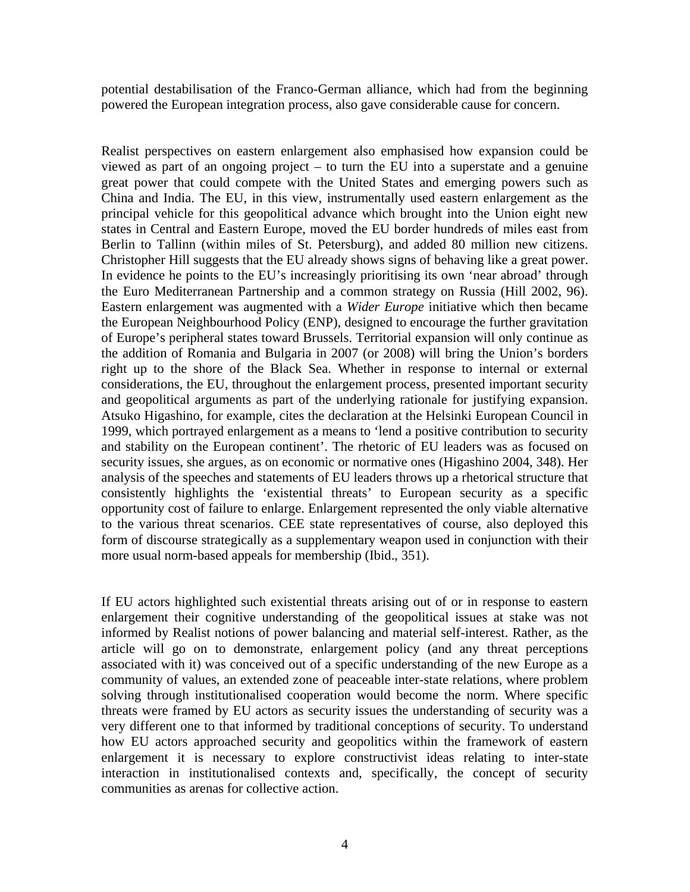potential destabilisation of the Franco-German alliance, which had from the beginning powered the European integration process, also gave considerable cause for concern.

Realist perspectives on eastern enlargement also emphasised how expansion could be viewed as part of an ongoing project – to turn the EU into a superstate and a genuine great power that could compete with the United States and emerging powers such as China and India. The EU, in this view, instrumentally used eastern enlargement as the principal vehicle for this geopolitical advance which brought into the Union eight new states in Central and Eastern Europe, moved the EU border hundreds of miles east from Berlin to Tallinn (within miles of St. Petersburg), and added 80 million new citizens. Christopher Hill suggests that the EU already shows signs of behaving like a great power. In evidence he points to the EU's increasingly prioritising its own 'near abroad' through the Euro Mediterranean Partnership and a common strategy on Russia (Hill 2002, 96). Eastern enlargement was augmented with a *Wider Europe* initiative which then became the European Neighbourhood Policy (ENP), designed to encourage the further gravitation of Europe's peripheral states toward Brussels. Territorial expansion will only continue as the addition of Romania and Bulgaria in 2007 (or 2008) will bring the Union's borders right up to the shore of the Black Sea. Whether in response to internal or external considerations, the EU, throughout the enlargement process, presented important security and geopolitical arguments as part of the underlying rationale for justifying expansion. Atsuko Higashino, for example, cites the declaration at the Helsinki European Council in 1999, which portrayed enlargement as a means to 'lend a positive contribution to security and stability on the European continent'. The rhetoric of EU leaders was as focused on security issues, she argues, as on economic or normative ones (Higashino 2004, 348). Her analysis of the speeches and statements of EU leaders throws up a rhetorical structure that consistently highlights the 'existential threats' to European security as a specific opportunity cost of failure to enlarge. Enlargement represented the only viable alternative to the various threat scenarios. CEE state representatives of course, also deployed this form of discourse strategically as a supplementary weapon used in conjunction with their more usual norm-based appeals for membership (Ibid., 351).

If EU actors highlighted such existential threats arising out of or in response to eastern enlargement their cognitive understanding of the geopolitical issues at stake was not informed by Realist notions of power balancing and material self-interest. Rather, as the article will go on to demonstrate, enlargement policy (and any threat perceptions associated with it) was conceived out of a specific understanding of the new Europe as a community of values, an extended zone of peaceable inter-state relations, where problem solving through institutionalised cooperation would become the norm. Where specific threats were framed by EU actors as security issues the understanding of security was a very different one to that informed by traditional conceptions of security. To understand how EU actors approached security and geopolitics within the framework of eastern enlargement it is necessary to explore constructivist ideas relating to inter-state interaction in institutionalised contexts and, specifically, the concept of security communities as arenas for collective action.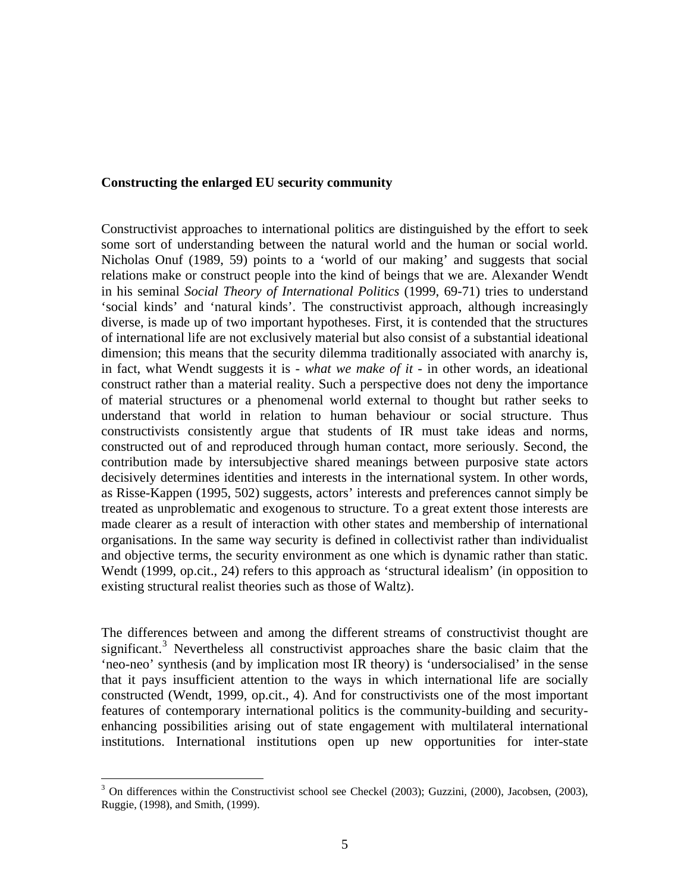### **Constructing the enlarged EU security community**

Constructivist approaches to international politics are distinguished by the effort to seek some sort of understanding between the natural world and the human or social world. Nicholas Onuf (1989, 59) points to a 'world of our making' and suggests that social relations make or construct people into the kind of beings that we are. Alexander Wendt in his seminal *Social Theory of International Politics* (1999, 69-71) tries to understand 'social kinds' and 'natural kinds'. The constructivist approach, although increasingly diverse, is made up of two important hypotheses. First, it is contended that the structures of international life are not exclusively material but also consist of a substantial ideational dimension; this means that the security dilemma traditionally associated with anarchy is, in fact, what Wendt suggests it is - *what we make of it* - in other words, an ideational construct rather than a material reality. Such a perspective does not deny the importance of material structures or a phenomenal world external to thought but rather seeks to understand that world in relation to human behaviour or social structure. Thus constructivists consistently argue that students of IR must take ideas and norms, constructed out of and reproduced through human contact, more seriously. Second, the contribution made by intersubjective shared meanings between purposive state actors decisively determines identities and interests in the international system. In other words, as Risse-Kappen (1995, 502) suggests, actors' interests and preferences cannot simply be treated as unproblematic and exogenous to structure. To a great extent those interests are made clearer as a result of interaction with other states and membership of international organisations. In the same way security is defined in collectivist rather than individualist and objective terms, the security environment as one which is dynamic rather than static. Wendt (1999, op.cit., 24) refers to this approach as 'structural idealism' (in opposition to existing structural realist theories such as those of Waltz).

The differences between and among the different streams of constructivist thought are significant.<sup>[3](#page-4-0)</sup> Nevertheless all constructivist approaches share the basic claim that the 'neo-neo' synthesis (and by implication most IR theory) is 'undersocialised' in the sense that it pays insufficient attention to the ways in which international life are socially constructed (Wendt, 1999, op.cit., 4). And for constructivists one of the most important features of contemporary international politics is the community-building and securityenhancing possibilities arising out of state engagement with multilateral international institutions. International institutions open up new opportunities for inter-state

<span id="page-4-0"></span><sup>&</sup>lt;sup>3</sup> On differences within the Constructivist school see Checkel (2003); Guzzini, (2000), Jacobsen, (2003), Ruggie, (1998), and Smith, (1999).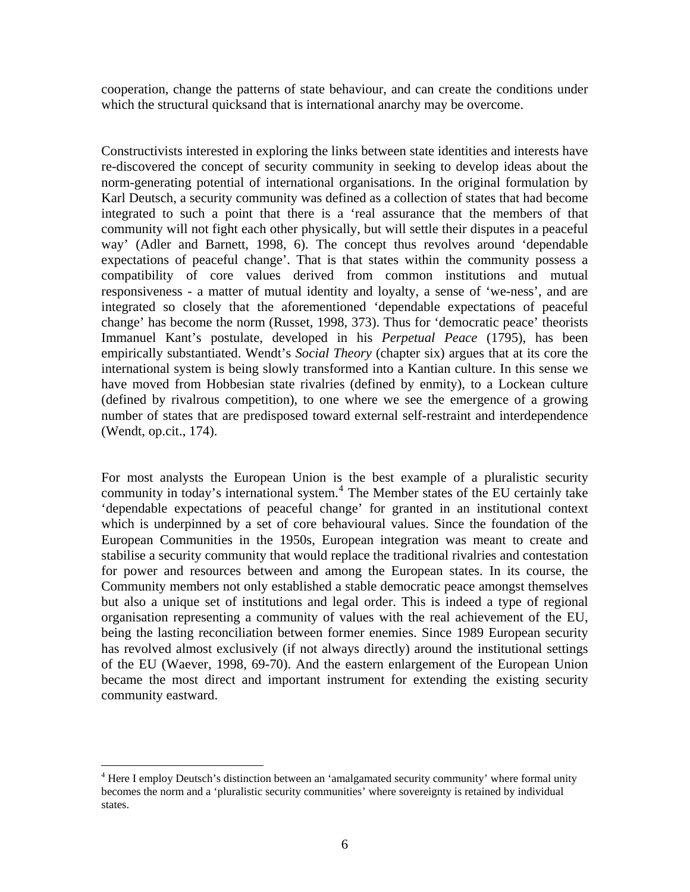cooperation, change the patterns of state behaviour, and can create the conditions under which the structural quicksand that is international anarchy may be overcome.

Constructivists interested in exploring the links between state identities and interests have re-discovered the concept of security community in seeking to develop ideas about the norm-generating potential of international organisations. In the original formulation by Karl Deutsch, a security community was defined as a collection of states that had become integrated to such a point that there is a 'real assurance that the members of that community will not fight each other physically, but will settle their disputes in a peaceful way' (Adler and Barnett, 1998, 6). The concept thus revolves around 'dependable expectations of peaceful change'. That is that states within the community possess a compatibility of core values derived from common institutions and mutual responsiveness - a matter of mutual identity and loyalty, a sense of 'we-ness', and are integrated so closely that the aforementioned 'dependable expectations of peaceful change' has become the norm (Russet, 1998, 373). Thus for 'democratic peace' theorists Immanuel Kant's postulate, developed in his *Perpetual Peace* (1795), has been empirically substantiated. Wendt's *Social Theory* (chapter six) argues that at its core the international system is being slowly transformed into a Kantian culture. In this sense we have moved from Hobbesian state rivalries (defined by enmity), to a Lockean culture (defined by rivalrous competition), to one where we see the emergence of a growing number of states that are predisposed toward external self-restraint and interdependence (Wendt, op.cit., 174).

For most analysts the European Union is the best example of a pluralistic security community in today's international system.<sup>[4](#page-5-0)</sup> The Member states of the EU certainly take 'dependable expectations of peaceful change' for granted in an institutional context which is underpinned by a set of core behavioural values. Since the foundation of the European Communities in the 1950s, European integration was meant to create and stabilise a security community that would replace the traditional rivalries and contestation for power and resources between and among the European states. In its course, the Community members not only established a stable democratic peace amongst themselves but also a unique set of institutions and legal order. This is indeed a type of regional organisation representing a community of values with the real achievement of the EU, being the lasting reconciliation between former enemies. Since 1989 European security has revolved almost exclusively (if not always directly) around the institutional settings of the EU (Waever, 1998, 69-70). And the eastern enlargement of the European Union became the most direct and important instrument for extending the existing security community eastward.

<span id="page-5-0"></span><sup>&</sup>lt;sup>4</sup> Here I employ Deutsch's distinction between an 'amalgamated security community' where formal unity becomes the norm and a 'pluralistic security communities' where sovereignty is retained by individual states.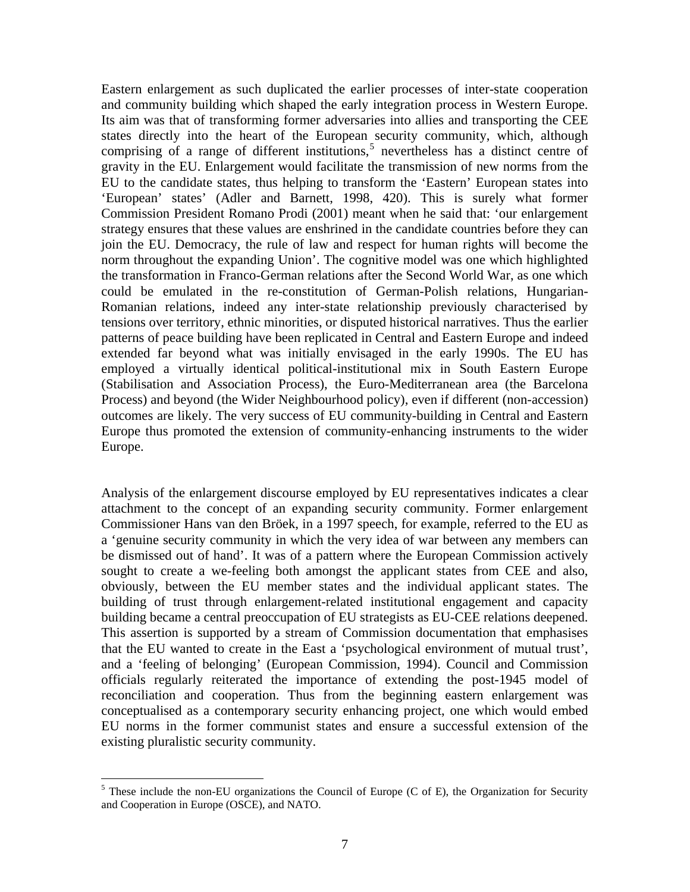Eastern enlargement as such duplicated the earlier processes of inter-state cooperation and community building which shaped the early integration process in Western Europe. Its aim was that of transforming former adversaries into allies and transporting the CEE states directly into the heart of the European security community, which, although comprising of a range of different institutions, $5$  nevertheless has a distinct centre of gravity in the EU. Enlargement would facilitate the transmission of new norms from the EU to the candidate states, thus helping to transform the 'Eastern' European states into 'European' states' (Adler and Barnett, 1998, 420). This is surely what former Commission President Romano Prodi (2001) meant when he said that: 'our enlargement strategy ensures that these values are enshrined in the candidate countries before they can join the EU. Democracy, the rule of law and respect for human rights will become the norm throughout the expanding Union'. The cognitive model was one which highlighted the transformation in Franco-German relations after the Second World War, as one which could be emulated in the re-constitution of German-Polish relations, Hungarian-Romanian relations, indeed any inter-state relationship previously characterised by tensions over territory, ethnic minorities, or disputed historical narratives. Thus the earlier patterns of peace building have been replicated in Central and Eastern Europe and indeed extended far beyond what was initially envisaged in the early 1990s. The EU has employed a virtually identical political-institutional mix in South Eastern Europe (Stabilisation and Association Process), the Euro-Mediterranean area (the Barcelona Process) and beyond (the Wider Neighbourhood policy), even if different (non-accession) outcomes are likely. The very success of EU community-building in Central and Eastern Europe thus promoted the extension of community-enhancing instruments to the wider Europe.

Analysis of the enlargement discourse employed by EU representatives indicates a clear attachment to the concept of an expanding security community. Former enlargement Commissioner Hans van den Bröek, in a 1997 speech, for example, referred to the EU as a 'genuine security community in which the very idea of war between any members can be dismissed out of hand'. It was of a pattern where the European Commission actively sought to create a we-feeling both amongst the applicant states from CEE and also, obviously, between the EU member states and the individual applicant states. The building of trust through enlargement-related institutional engagement and capacity building became a central preoccupation of EU strategists as EU-CEE relations deepened. This assertion is supported by a stream of Commission documentation that emphasises that the EU wanted to create in the East a 'psychological environment of mutual trust', and a 'feeling of belonging' (European Commission, 1994). Council and Commission officials regularly reiterated the importance of extending the post-1945 model of reconciliation and cooperation. Thus from the beginning eastern enlargement was conceptualised as a contemporary security enhancing project, one which would embed EU norms in the former communist states and ensure a successful extension of the existing pluralistic security community.

<span id="page-6-0"></span> $<sup>5</sup>$  These include the non-EU organizations the Council of Europe (C of E), the Organization for Security</sup> and Cooperation in Europe (OSCE), and NATO.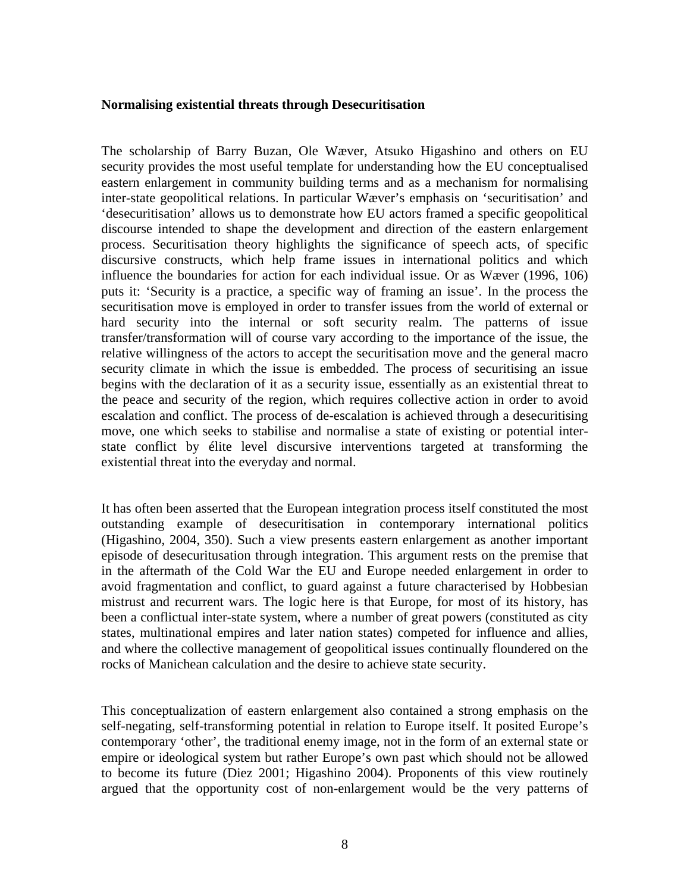## **Normalising existential threats through Desecuritisation**

The scholarship of Barry Buzan, Ole Wæver, Atsuko Higashino and others on EU security provides the most useful template for understanding how the EU conceptualised eastern enlargement in community building terms and as a mechanism for normalising inter-state geopolitical relations. In particular Wæver's emphasis on 'securitisation' and 'desecuritisation' allows us to demonstrate how EU actors framed a specific geopolitical discourse intended to shape the development and direction of the eastern enlargement process. Securitisation theory highlights the significance of speech acts, of specific discursive constructs, which help frame issues in international politics and which influence the boundaries for action for each individual issue. Or as Wæver (1996, 106) puts it: 'Security is a practice, a specific way of framing an issue'. In the process the securitisation move is employed in order to transfer issues from the world of external or hard security into the internal or soft security realm. The patterns of issue transfer/transformation will of course vary according to the importance of the issue, the relative willingness of the actors to accept the securitisation move and the general macro security climate in which the issue is embedded. The process of securitising an issue begins with the declaration of it as a security issue, essentially as an existential threat to the peace and security of the region, which requires collective action in order to avoid escalation and conflict. The process of de-escalation is achieved through a desecuritising move, one which seeks to stabilise and normalise a state of existing or potential interstate conflict by élite level discursive interventions targeted at transforming the existential threat into the everyday and normal.

It has often been asserted that the European integration process itself constituted the most outstanding example of desecuritisation in contemporary international politics (Higashino, 2004, 350). Such a view presents eastern enlargement as another important episode of desecuritusation through integration. This argument rests on the premise that in the aftermath of the Cold War the EU and Europe needed enlargement in order to avoid fragmentation and conflict, to guard against a future characterised by Hobbesian mistrust and recurrent wars. The logic here is that Europe, for most of its history, has been a conflictual inter-state system, where a number of great powers (constituted as city states, multinational empires and later nation states) competed for influence and allies, and where the collective management of geopolitical issues continually floundered on the rocks of Manichean calculation and the desire to achieve state security.

This conceptualization of eastern enlargement also contained a strong emphasis on the self-negating, self-transforming potential in relation to Europe itself. It posited Europe's contemporary 'other', the traditional enemy image, not in the form of an external state or empire or ideological system but rather Europe's own past which should not be allowed to become its future (Diez 2001; Higashino 2004). Proponents of this view routinely argued that the opportunity cost of non-enlargement would be the very patterns of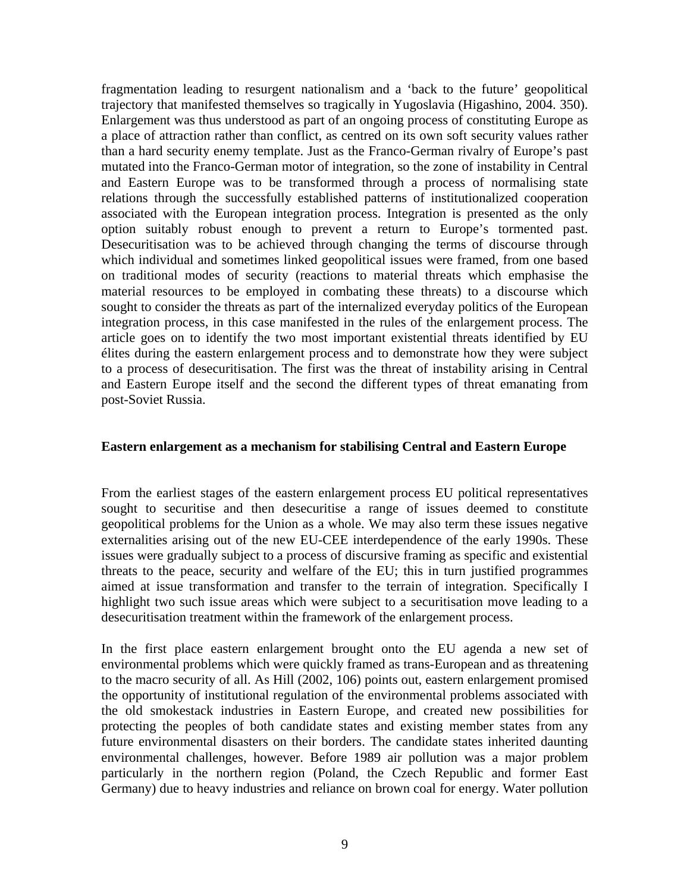fragmentation leading to resurgent nationalism and a 'back to the future' geopolitical trajectory that manifested themselves so tragically in Yugoslavia (Higashino, 2004. 350). Enlargement was thus understood as part of an ongoing process of constituting Europe as a place of attraction rather than conflict, as centred on its own soft security values rather than a hard security enemy template. Just as the Franco-German rivalry of Europe's past mutated into the Franco-German motor of integration, so the zone of instability in Central and Eastern Europe was to be transformed through a process of normalising state relations through the successfully established patterns of institutionalized cooperation associated with the European integration process. Integration is presented as the only option suitably robust enough to prevent a return to Europe's tormented past. Desecuritisation was to be achieved through changing the terms of discourse through which individual and sometimes linked geopolitical issues were framed, from one based on traditional modes of security (reactions to material threats which emphasise the material resources to be employed in combating these threats) to a discourse which sought to consider the threats as part of the internalized everyday politics of the European integration process, in this case manifested in the rules of the enlargement process. The article goes on to identify the two most important existential threats identified by EU élites during the eastern enlargement process and to demonstrate how they were subject to a process of desecuritisation. The first was the threat of instability arising in Central and Eastern Europe itself and the second the different types of threat emanating from post-Soviet Russia.

### **Eastern enlargement as a mechanism for stabilising Central and Eastern Europe**

From the earliest stages of the eastern enlargement process EU political representatives sought to securitise and then desecuritise a range of issues deemed to constitute geopolitical problems for the Union as a whole. We may also term these issues negative externalities arising out of the new EU-CEE interdependence of the early 1990s. These issues were gradually subject to a process of discursive framing as specific and existential threats to the peace, security and welfare of the EU; this in turn justified programmes aimed at issue transformation and transfer to the terrain of integration. Specifically I highlight two such issue areas which were subject to a securitisation move leading to a desecuritisation treatment within the framework of the enlargement process.

In the first place eastern enlargement brought onto the EU agenda a new set of environmental problems which were quickly framed as trans-European and as threatening to the macro security of all. As Hill (2002, 106) points out, eastern enlargement promised the opportunity of institutional regulation of the environmental problems associated with the old smokestack industries in Eastern Europe, and created new possibilities for protecting the peoples of both candidate states and existing member states from any future environmental disasters on their borders. The candidate states inherited daunting environmental challenges, however. Before 1989 air pollution was a major problem particularly in the northern region (Poland, the Czech Republic and former East Germany) due to heavy industries and reliance on brown coal for energy. Water pollution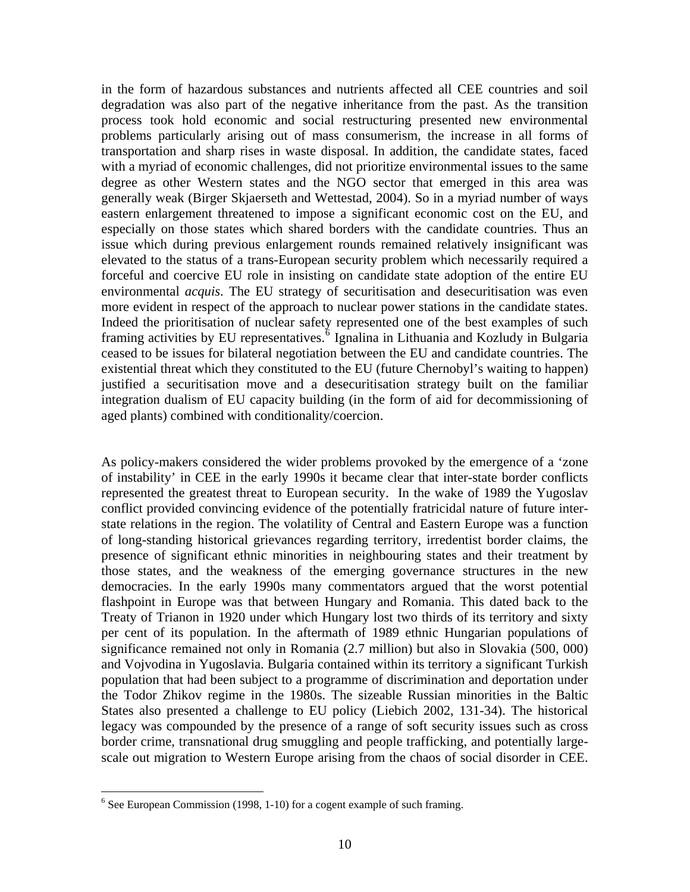in the form of hazardous substances and nutrients affected all CEE countries and soil degradation was also part of the negative inheritance from the past. As the transition process took hold economic and social restructuring presented new environmental problems particularly arising out of mass consumerism, the increase in all forms of transportation and sharp rises in waste disposal. In addition, the candidate states, faced with a myriad of economic challenges, did not prioritize environmental issues to the same degree as other Western states and the NGO sector that emerged in this area was generally weak (Birger Skjaerseth and Wettestad, 2004). So in a myriad number of ways eastern enlargement threatened to impose a significant economic cost on the EU, and especially on those states which shared borders with the candidate countries. Thus an issue which during previous enlargement rounds remained relatively insignificant was elevated to the status of a trans-European security problem which necessarily required a forceful and coercive EU role in insisting on candidate state adoption of the entire EU environmental *acquis*. The EU strategy of securitisation and desecuritisation was even more evident in respect of the approach to nuclear power stations in the candidate states. Indeed the prioritisation of nuclear safety represented one of the best examples of such framing activities by EU representatives.<sup>[6](#page-9-0)</sup> Ignalina in Lithuania and Kozludy in Bulgaria ceased to be issues for bilateral negotiation between the EU and candidate countries. The existential threat which they constituted to the EU (future Chernobyl's waiting to happen) justified a securitisation move and a desecuritisation strategy built on the familiar integration dualism of EU capacity building (in the form of aid for decommissioning of aged plants) combined with conditionality/coercion.

As policy-makers considered the wider problems provoked by the emergence of a 'zone of instability' in CEE in the early 1990s it became clear that inter-state border conflicts represented the greatest threat to European security. In the wake of 1989 the Yugoslav conflict provided convincing evidence of the potentially fratricidal nature of future interstate relations in the region. The volatility of Central and Eastern Europe was a function of long-standing historical grievances regarding territory, irredentist border claims, the presence of significant ethnic minorities in neighbouring states and their treatment by those states, and the weakness of the emerging governance structures in the new democracies. In the early 1990s many commentators argued that the worst potential flashpoint in Europe was that between Hungary and Romania. This dated back to the Treaty of Trianon in 1920 under which Hungary lost two thirds of its territory and sixty per cent of its population. In the aftermath of 1989 ethnic Hungarian populations of significance remained not only in Romania (2.7 million) but also in Slovakia (500, 000) and Vojvodina in Yugoslavia. Bulgaria contained within its territory a significant Turkish population that had been subject to a programme of discrimination and deportation under the Todor Zhikov regime in the 1980s. The sizeable Russian minorities in the Baltic States also presented a challenge to EU policy (Liebich 2002, 131-34). The historical legacy was compounded by the presence of a range of soft security issues such as cross border crime, transnational drug smuggling and people trafficking, and potentially largescale out migration to Western Europe arising from the chaos of social disorder in CEE.

<span id="page-9-0"></span> $6$  See European Commission (1998, 1-10) for a cogent example of such framing.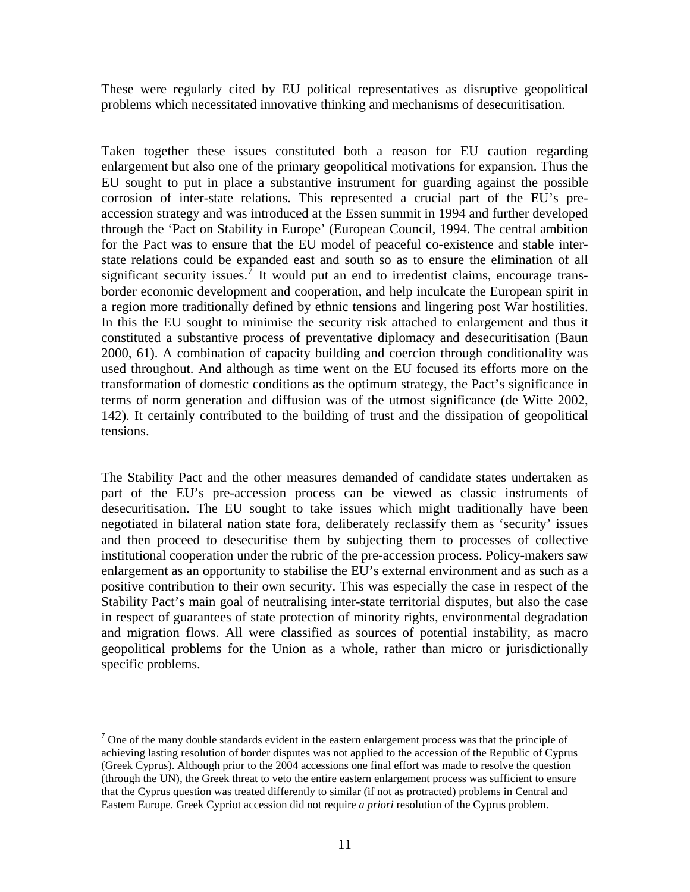These were regularly cited by EU political representatives as disruptive geopolitical problems which necessitated innovative thinking and mechanisms of desecuritisation.

Taken together these issues constituted both a reason for EU caution regarding enlargement but also one of the primary geopolitical motivations for expansion. Thus the EU sought to put in place a substantive instrument for guarding against the possible corrosion of inter-state relations. This represented a crucial part of the EU's preaccession strategy and was introduced at the Essen summit in 1994 and further developed through the 'Pact on Stability in Europe' (European Council, 1994. The central ambition for the Pact was to ensure that the EU model of peaceful co-existence and stable interstate relations could be expanded east and south so as to ensure the elimination of all significant security issues.<sup>[7](#page-10-0)</sup> It would put an end to irredentist claims, encourage transborder economic development and cooperation, and help inculcate the European spirit in a region more traditionally defined by ethnic tensions and lingering post War hostilities. In this the EU sought to minimise the security risk attached to enlargement and thus it constituted a substantive process of preventative diplomacy and desecuritisation (Baun 2000, 61). A combination of capacity building and coercion through conditionality was used throughout. And although as time went on the EU focused its efforts more on the transformation of domestic conditions as the optimum strategy, the Pact's significance in terms of norm generation and diffusion was of the utmost significance (de Witte 2002, 142). It certainly contributed to the building of trust and the dissipation of geopolitical tensions.

The Stability Pact and the other measures demanded of candidate states undertaken as part of the EU's pre-accession process can be viewed as classic instruments of desecuritisation. The EU sought to take issues which might traditionally have been negotiated in bilateral nation state fora, deliberately reclassify them as 'security' issues and then proceed to desecuritise them by subjecting them to processes of collective institutional cooperation under the rubric of the pre-accession process. Policy-makers saw enlargement as an opportunity to stabilise the EU's external environment and as such as a positive contribution to their own security. This was especially the case in respect of the Stability Pact's main goal of neutralising inter-state territorial disputes, but also the case in respect of guarantees of state protection of minority rights, environmental degradation and migration flows. All were classified as sources of potential instability, as macro geopolitical problems for the Union as a whole, rather than micro or jurisdictionally specific problems.

<span id="page-10-0"></span> $<sup>7</sup>$  One of the many double standards evident in the eastern enlargement process was that the principle of</sup> achieving lasting resolution of border disputes was not applied to the accession of the Republic of Cyprus (Greek Cyprus). Although prior to the 2004 accessions one final effort was made to resolve the question (through the UN), the Greek threat to veto the entire eastern enlargement process was sufficient to ensure that the Cyprus question was treated differently to similar (if not as protracted) problems in Central and Eastern Europe. Greek Cypriot accession did not require *a priori* resolution of the Cyprus problem.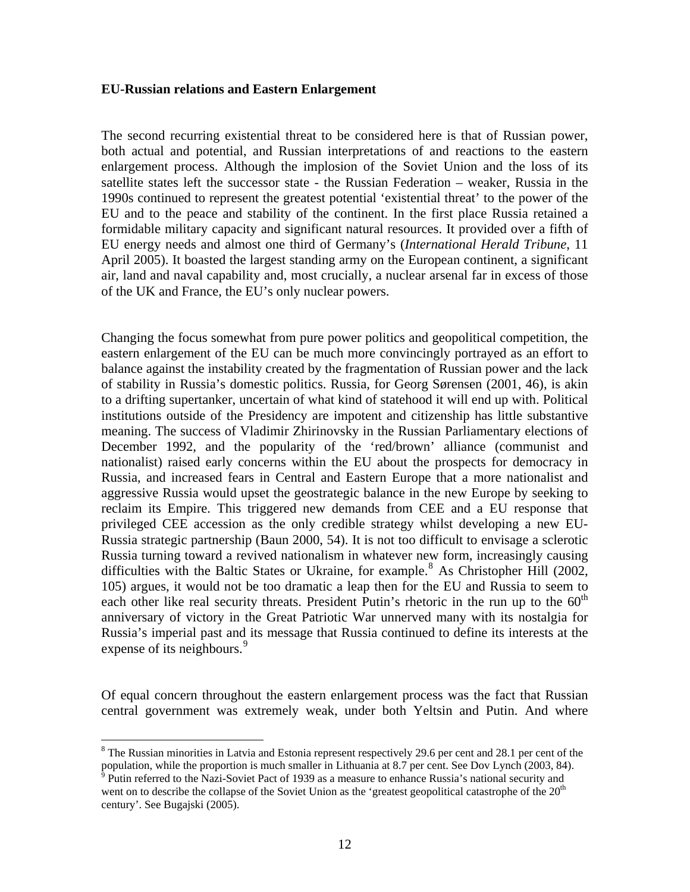#### **EU-Russian relations and Eastern Enlargement**

The second recurring existential threat to be considered here is that of Russian power, both actual and potential, and Russian interpretations of and reactions to the eastern enlargement process. Although the implosion of the Soviet Union and the loss of its satellite states left the successor state - the Russian Federation – weaker, Russia in the 1990s continued to represent the greatest potential 'existential threat' to the power of the EU and to the peace and stability of the continent. In the first place Russia retained a formidable military capacity and significant natural resources. It provided over a fifth of EU energy needs and almost one third of Germany's (*International Herald Tribune*, 11 April 2005). It boasted the largest standing army on the European continent, a significant air, land and naval capability and, most crucially, a nuclear arsenal far in excess of those of the UK and France, the EU's only nuclear powers.

Changing the focus somewhat from pure power politics and geopolitical competition, the eastern enlargement of the EU can be much more convincingly portrayed as an effort to balance against the instability created by the fragmentation of Russian power and the lack of stability in Russia's domestic politics. Russia, for Georg Sørensen (2001, 46), is akin to a drifting supertanker, uncertain of what kind of statehood it will end up with. Political institutions outside of the Presidency are impotent and citizenship has little substantive meaning. The success of Vladimir Zhirinovsky in the Russian Parliamentary elections of December 1992, and the popularity of the 'red/brown' alliance (communist and nationalist) raised early concerns within the EU about the prospects for democracy in Russia, and increased fears in Central and Eastern Europe that a more nationalist and aggressive Russia would upset the geostrategic balance in the new Europe by seeking to reclaim its Empire. This triggered new demands from CEE and a EU response that privileged CEE accession as the only credible strategy whilst developing a new EU-Russia strategic partnership (Baun 2000, 54). It is not too difficult to envisage a sclerotic Russia turning toward a revived nationalism in whatever new form, increasingly causing difficulties with the Baltic States or Ukraine, for example.<sup>[8](#page-11-0)</sup> As Christopher Hill (2002, 105) argues, it would not be too dramatic a leap then for the EU and Russia to seem to each other like real security threats. President Putin's rhetoric in the run up to the  $60<sup>th</sup>$ anniversary of victory in the Great Patriotic War unnerved many with its nostalgia for Russia's imperial past and its message that Russia continued to define its interests at the expense of its neighbours.<sup>[9](#page-11-1)</sup>

Of equal concern throughout the eastern enlargement process was the fact that Russian central government was extremely weak, under both Yeltsin and Putin. And where

<span id="page-11-0"></span><sup>&</sup>lt;sup>8</sup> The Russian minorities in Latvia and Estonia represent respectively 29.6 per cent and 28.1 per cent of the population, while the proportion is much smaller in Lithuania at 8.7 per cent. See Dov Lynch (2003, 84).<br><sup>9</sup> Putin referred to the Nazi-Soviet Pact of 1939 as a measure to enhance Russia's national security and

<span id="page-11-1"></span>went on to describe the collapse of the Soviet Union as the 'greatest geopolitical catastrophe of the  $20<sup>th</sup>$ century'. See Bugajski (2005).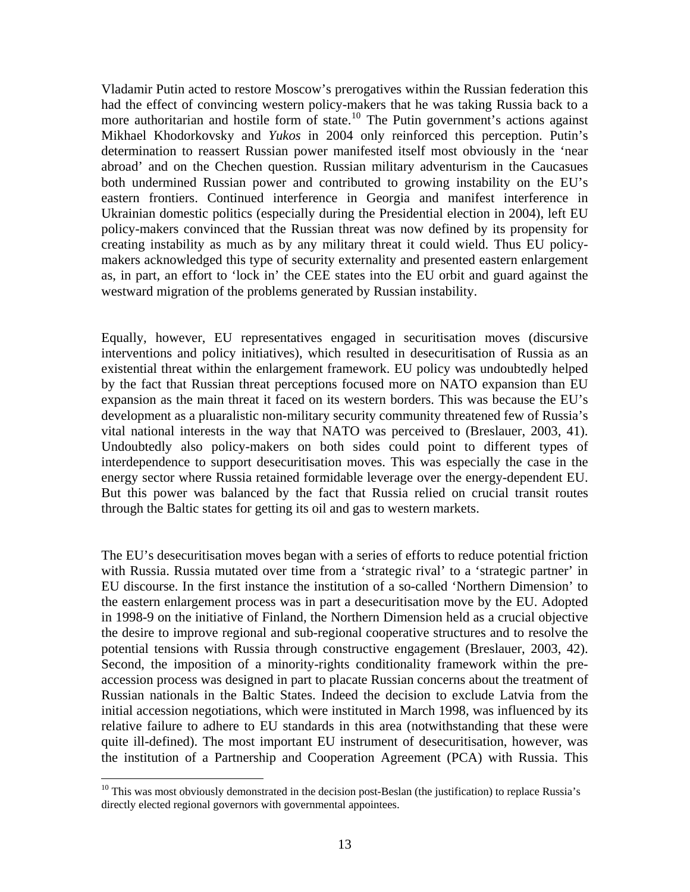Vladamir Putin acted to restore Moscow's prerogatives within the Russian federation this had the effect of convincing western policy-makers that he was taking Russia back to a more authoritarian and hostile form of state.<sup>[10](#page-12-0)</sup> The Putin government's actions against Mikhael Khodorkovsky and *Yukos* in 2004 only reinforced this perception. Putin's determination to reassert Russian power manifested itself most obviously in the 'near abroad' and on the Chechen question. Russian military adventurism in the Caucasues both undermined Russian power and contributed to growing instability on the EU's eastern frontiers. Continued interference in Georgia and manifest interference in Ukrainian domestic politics (especially during the Presidential election in 2004), left EU policy-makers convinced that the Russian threat was now defined by its propensity for creating instability as much as by any military threat it could wield. Thus EU policymakers acknowledged this type of security externality and presented eastern enlargement as, in part, an effort to 'lock in' the CEE states into the EU orbit and guard against the westward migration of the problems generated by Russian instability.

Equally, however, EU representatives engaged in securitisation moves (discursive interventions and policy initiatives), which resulted in desecuritisation of Russia as an existential threat within the enlargement framework. EU policy was undoubtedly helped by the fact that Russian threat perceptions focused more on NATO expansion than EU expansion as the main threat it faced on its western borders. This was because the EU's development as a pluaralistic non-military security community threatened few of Russia's vital national interests in the way that NATO was perceived to (Breslauer, 2003, 41). Undoubtedly also policy-makers on both sides could point to different types of interdependence to support desecuritisation moves. This was especially the case in the energy sector where Russia retained formidable leverage over the energy-dependent EU. But this power was balanced by the fact that Russia relied on crucial transit routes through the Baltic states for getting its oil and gas to western markets.

The EU's desecuritisation moves began with a series of efforts to reduce potential friction with Russia. Russia mutated over time from a 'strategic rival' to a 'strategic partner' in EU discourse. In the first instance the institution of a so-called 'Northern Dimension' to the eastern enlargement process was in part a desecuritisation move by the EU. Adopted in 1998-9 on the initiative of Finland, the Northern Dimension held as a crucial objective the desire to improve regional and sub-regional cooperative structures and to resolve the potential tensions with Russia through constructive engagement (Breslauer, 2003, 42). Second, the imposition of a minority-rights conditionality framework within the preaccession process was designed in part to placate Russian concerns about the treatment of Russian nationals in the Baltic States. Indeed the decision to exclude Latvia from the initial accession negotiations, which were instituted in March 1998, was influenced by its relative failure to adhere to EU standards in this area (notwithstanding that these were quite ill-defined). The most important EU instrument of desecuritisation, however, was the institution of a Partnership and Cooperation Agreement (PCA) with Russia. This

<span id="page-12-0"></span> $10$  This was most obviously demonstrated in the decision post-Beslan (the justification) to replace Russia's directly elected regional governors with governmental appointees.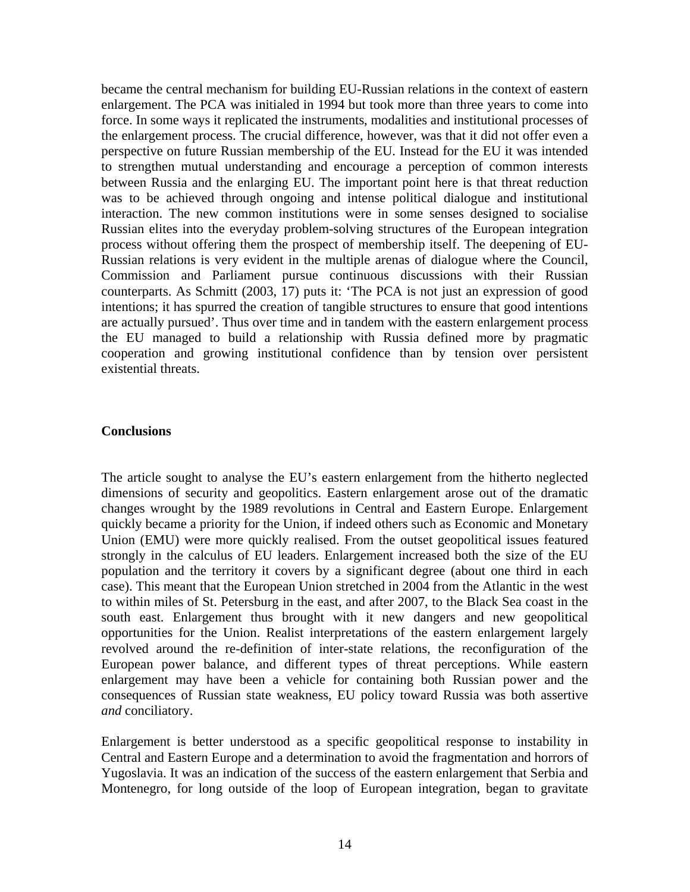became the central mechanism for building EU-Russian relations in the context of eastern enlargement. The PCA was initialed in 1994 but took more than three years to come into force. In some ways it replicated the instruments, modalities and institutional processes of the enlargement process. The crucial difference, however, was that it did not offer even a perspective on future Russian membership of the EU. Instead for the EU it was intended to strengthen mutual understanding and encourage a perception of common interests between Russia and the enlarging EU. The important point here is that threat reduction was to be achieved through ongoing and intense political dialogue and institutional interaction. The new common institutions were in some senses designed to socialise Russian elites into the everyday problem-solving structures of the European integration process without offering them the prospect of membership itself. The deepening of EU-Russian relations is very evident in the multiple arenas of dialogue where the Council, Commission and Parliament pursue continuous discussions with their Russian counterparts. As Schmitt (2003, 17) puts it: 'The PCA is not just an expression of good intentions; it has spurred the creation of tangible structures to ensure that good intentions are actually pursued'. Thus over time and in tandem with the eastern enlargement process the EU managed to build a relationship with Russia defined more by pragmatic cooperation and growing institutional confidence than by tension over persistent existential threats.

## **Conclusions**

The article sought to analyse the EU's eastern enlargement from the hitherto neglected dimensions of security and geopolitics. Eastern enlargement arose out of the dramatic changes wrought by the 1989 revolutions in Central and Eastern Europe. Enlargement quickly became a priority for the Union, if indeed others such as Economic and Monetary Union (EMU) were more quickly realised. From the outset geopolitical issues featured strongly in the calculus of EU leaders. Enlargement increased both the size of the EU population and the territory it covers by a significant degree (about one third in each case). This meant that the European Union stretched in 2004 from the Atlantic in the west to within miles of St. Petersburg in the east, and after 2007, to the Black Sea coast in the south east. Enlargement thus brought with it new dangers and new geopolitical opportunities for the Union. Realist interpretations of the eastern enlargement largely revolved around the re-definition of inter-state relations, the reconfiguration of the European power balance, and different types of threat perceptions. While eastern enlargement may have been a vehicle for containing both Russian power and the consequences of Russian state weakness, EU policy toward Russia was both assertive *and* conciliatory.

Enlargement is better understood as a specific geopolitical response to instability in Central and Eastern Europe and a determination to avoid the fragmentation and horrors of Yugoslavia. It was an indication of the success of the eastern enlargement that Serbia and Montenegro, for long outside of the loop of European integration, began to gravitate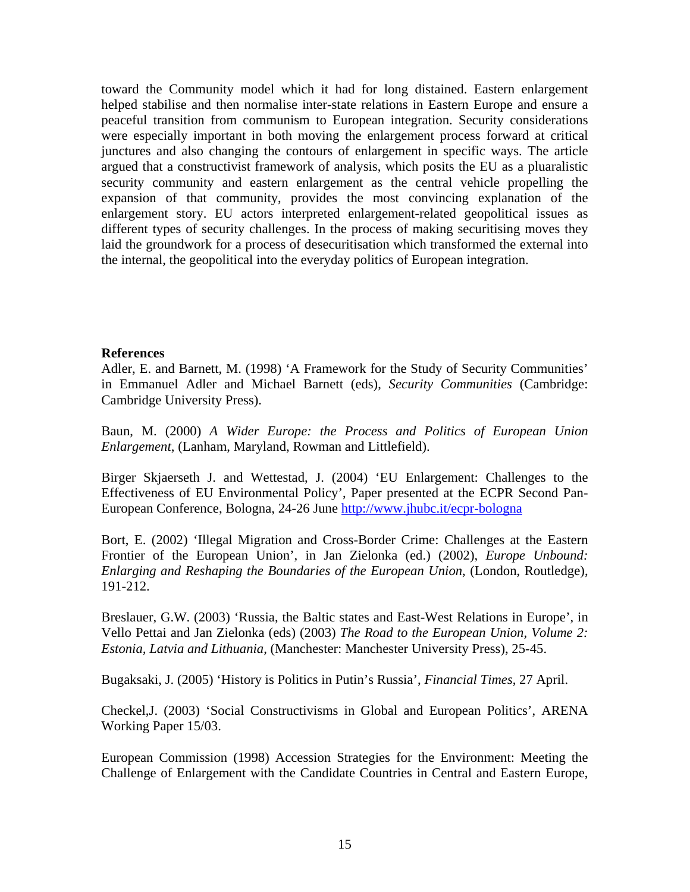toward the Community model which it had for long distained. Eastern enlargement helped stabilise and then normalise inter-state relations in Eastern Europe and ensure a peaceful transition from communism to European integration. Security considerations were especially important in both moving the enlargement process forward at critical junctures and also changing the contours of enlargement in specific ways. The article argued that a constructivist framework of analysis, which posits the EU as a pluaralistic security community and eastern enlargement as the central vehicle propelling the expansion of that community, provides the most convincing explanation of the enlargement story. EU actors interpreted enlargement-related geopolitical issues as different types of security challenges. In the process of making securitising moves they laid the groundwork for a process of desecuritisation which transformed the external into the internal, the geopolitical into the everyday politics of European integration.

## **References**

Adler, E. and Barnett, M. (1998) 'A Framework for the Study of Security Communities' in Emmanuel Adler and Michael Barnett (eds), *Security Communities* (Cambridge: Cambridge University Press).

Baun, M. (2000) *A Wider Europe: the Process and Politics of European Union Enlargement*, (Lanham, Maryland, Rowman and Littlefield).

Birger Skjaerseth J. and Wettestad, J. (2004) 'EU Enlargement: Challenges to the Effectiveness of EU Environmental Policy', Paper presented at the ECPR Second Pan-European Conference, Bologna, 24-26 June <http://www.jhubc.it/ecpr-bologna>

Bort, E. (2002) 'Illegal Migration and Cross-Border Crime: Challenges at the Eastern Frontier of the European Union', in Jan Zielonka (ed.) (2002), *Europe Unbound: Enlarging and Reshaping the Boundaries of the European Union*, (London, Routledge), 191-212.

Breslauer, G.W. (2003) 'Russia, the Baltic states and East-West Relations in Europe', in Vello Pettai and Jan Zielonka (eds) (2003) *The Road to the European Union, Volume 2: Estonia, Latvia and Lithuania*, (Manchester: Manchester University Press), 25-45.

Bugaksaki, J. (2005) 'History is Politics in Putin's Russia', *Financial Times*, 27 April.

Checkel,J. (2003) 'Social Constructivisms in Global and European Politics', ARENA Working Paper 15/03.

European Commission (1998) Accession Strategies for the Environment: Meeting the Challenge of Enlargement with the Candidate Countries in Central and Eastern Europe,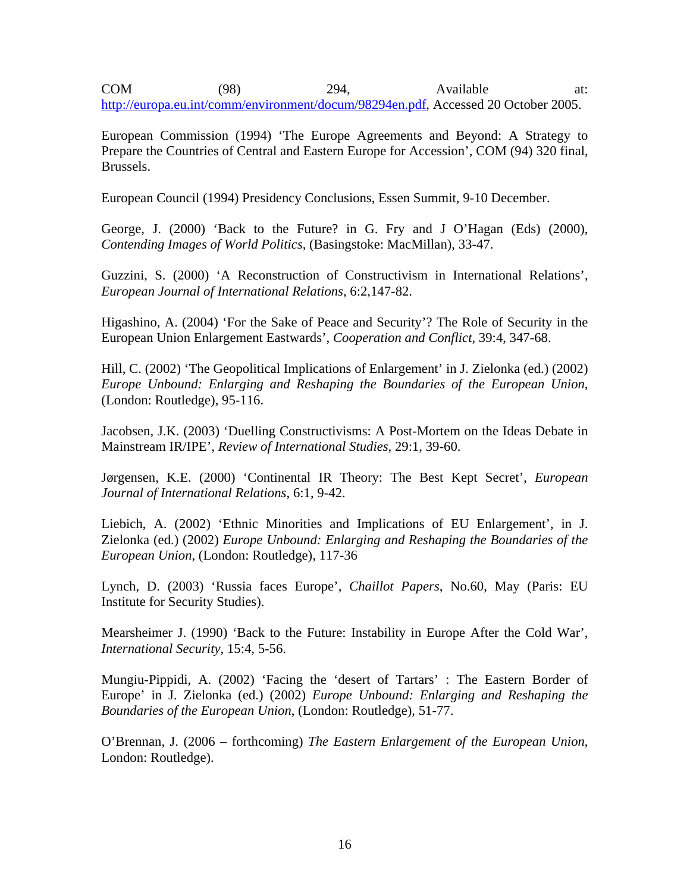COM (98) 294, Available at: <http://europa.eu.int/comm/environment/docum/98294en.pdf>, Accessed 20 October 2005.

European Commission (1994) 'The Europe Agreements and Beyond: A Strategy to Prepare the Countries of Central and Eastern Europe for Accession', COM (94) 320 final, Brussels.

European Council (1994) Presidency Conclusions, Essen Summit, 9-10 December.

George, J. (2000) 'Back to the Future? in G. Fry and J O'Hagan (Eds) (2000), *Contending Images of World Politics*, (Basingstoke: MacMillan), 33-47.

Guzzini, S. (2000) 'A Reconstruction of Constructivism in International Relations', *European Journal of International Relations*, 6:2,147-82.

Higashino, A. (2004) 'For the Sake of Peace and Security'? The Role of Security in the European Union Enlargement Eastwards', *Cooperation and Conflict*, 39:4, 347-68.

Hill, C. (2002) 'The Geopolitical Implications of Enlargement' in J. Zielonka (ed.) (2002) *Europe Unbound: Enlarging and Reshaping the Boundaries of the European Union*, (London: Routledge), 95-116.

Jacobsen, J.K. (2003) 'Duelling Constructivisms: A Post-Mortem on the Ideas Debate in Mainstream IR/IPE', *Review of International Studies*, 29:1, 39-60.

Jørgensen, K.E. (2000) 'Continental IR Theory: The Best Kept Secret', *European Journal of International Relations*, 6:1, 9-42.

Liebich, A. (2002) 'Ethnic Minorities and Implications of EU Enlargement', in J. Zielonka (ed.) (2002) *Europe Unbound: Enlarging and Reshaping the Boundaries of the European Union*, (London: Routledge), 117-36

Lynch, D. (2003) 'Russia faces Europe', *Chaillot Papers*, No.60, May (Paris: EU Institute for Security Studies).

Mearsheimer J. (1990) 'Back to the Future: Instability in Europe After the Cold War', *International Security*, 15:4, 5-56.

Mungiu-Pippidi, A. (2002) 'Facing the 'desert of Tartars' : The Eastern Border of Europe' in J. Zielonka (ed.) (2002) *Europe Unbound: Enlarging and Reshaping the Boundaries of the European Union*, (London: Routledge), 51-77.

O'Brennan, J. (2006 – forthcoming) *The Eastern Enlargement of the European Union*, London: Routledge).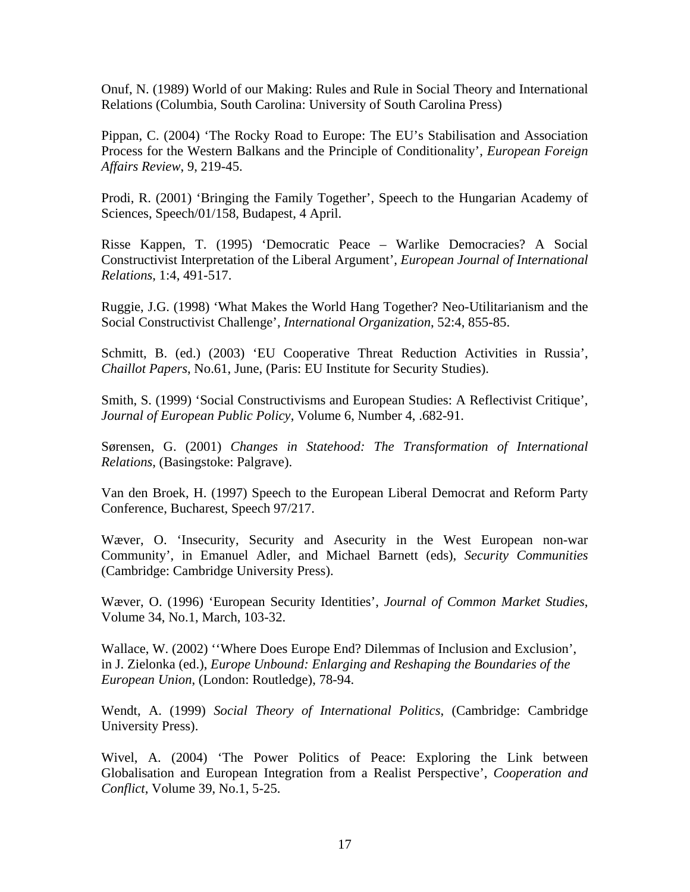Onuf, N. (1989) World of our Making: Rules and Rule in Social Theory and International Relations (Columbia, South Carolina: University of South Carolina Press)

Pippan, C. (2004) 'The Rocky Road to Europe: The EU's Stabilisation and Association Process for the Western Balkans and the Principle of Conditionality', *European Foreign Affairs Review*, 9, 219-45.

Prodi, R. (2001) 'Bringing the Family Together', Speech to the Hungarian Academy of Sciences, Speech/01/158, Budapest, 4 April.

Risse Kappen, T. (1995) 'Democratic Peace – Warlike Democracies? A Social Constructivist Interpretation of the Liberal Argument', *European Journal of International Relations*, 1:4, 491-517.

Ruggie, J.G. (1998) 'What Makes the World Hang Together? Neo-Utilitarianism and the Social Constructivist Challenge', *International Organization*, 52:4, 855-85.

Schmitt, B. (ed.) (2003) 'EU Cooperative Threat Reduction Activities in Russia', *Chaillot Papers*, No.61, June, (Paris: EU Institute for Security Studies).

Smith, S. (1999) 'Social Constructivisms and European Studies: A Reflectivist Critique', *Journal of European Public Policy*, Volume 6, Number 4, .682-91.

Sørensen, G. (2001) *Changes in Statehood: The Transformation of International Relations*, (Basingstoke: Palgrave).

Van den Broek, H. (1997) Speech to the European Liberal Democrat and Reform Party Conference, Bucharest, Speech 97/217.

Wæver, O. 'Insecurity, Security and Asecurity in the West European non-war Community', in Emanuel Adler, and Michael Barnett (eds), *Security Communities* (Cambridge: Cambridge University Press).

Wæver, O. (1996) 'European Security Identities', *Journal of Common Market Studies*, Volume 34, No.1, March, 103-32.

Wallace, W. (2002) ''Where Does Europe End? Dilemmas of Inclusion and Exclusion', in J. Zielonka (ed.), *Europe Unbound: Enlarging and Reshaping the Boundaries of the European Union*, (London: Routledge), 78-94.

Wendt, A. (1999) *Social Theory of International Politics*, (Cambridge: Cambridge University Press).

Wivel, A. (2004) 'The Power Politics of Peace: Exploring the Link between Globalisation and European Integration from a Realist Perspective', *Cooperation and Conflict*, Volume 39, No.1, 5-25.